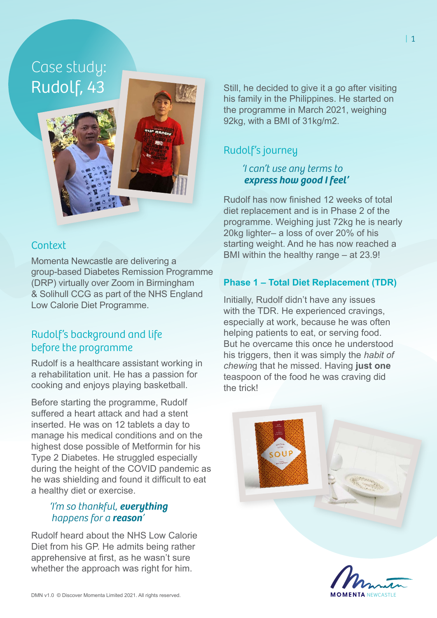# Case study: Rudolf, 43



### **Context**

Momenta Newcastle are delivering a group-based Diabetes Remission Programme (DRP) virtually over Zoom in Birmingham & Solihull CCG as part of the NHS England Low Calorie Diet Programme.

# Rudolf's background and life before the programme

Rudolf is a healthcare assistant working in a rehabilitation unit. He has a passion for cooking and enjoys playing basketball.

Before starting the programme, Rudolf suffered a heart attack and had a stent inserted. He was on 12 tablets a day to manage his medical conditions and on the highest dose possible of Metformin for his Type 2 Diabetes. He struggled especially during the height of the COVID pandemic as he was shielding and found it difficult to eat a healthy diet or exercise.

#### *'I'm so thankful, everything happens for a reason'*

Rudolf heard about the NHS Low Calorie Diet from his GP. He admits being rather apprehensive at first, as he wasn't sure whether the approach was right for him.

Still, he decided to give it a go after visiting his family in the Philippines. He started on the programme in March 2021, weighing 92kg, with a BMI of 31kg/m2.

# Rudolf's journey

#### *'I can't use any terms to express how good I feel'*

Rudolf has now finished 12 weeks of total diet replacement and is in Phase 2 of the programme. Weighing just 72kg he is nearly 20kg lighter– a loss of over 20% of his starting weight. And he has now reached a BMI within the healthy range – at 23.9!

#### **Phase 1 – Total Diet Replacement (TDR)**

Initially, Rudolf didn't have any issues with the TDR. He experienced cravings, especially at work, because he was often helping patients to eat, or serving food. But he overcame this once he understood his triggers, then it was simply the *habit of chewin*g that he missed. Having **just one** teaspoon of the food he was craving did the trick!